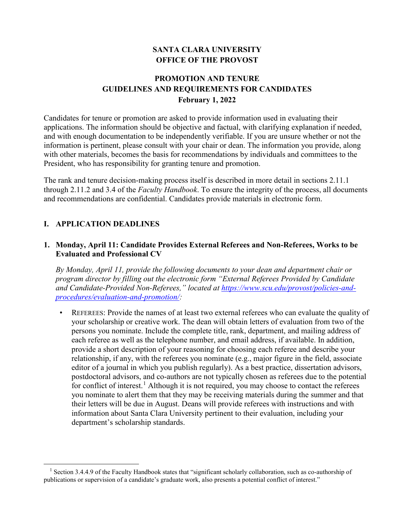## **SANTA CLARA UNIVERSITY OFFICE OF THE PROVOST**

# **PROMOTION AND TENURE GUIDELINES AND REQUIREMENTS FOR CANDIDATES February 1, 2022**

Candidates for tenure or promotion are asked to provide information used in evaluating their applications. The information should be objective and factual, with clarifying explanation if needed, and with enough documentation to be independently verifiable. If you are unsure whether or not the information is pertinent, please consult with your chair or dean. The information you provide, along with other materials, becomes the basis for recommendations by individuals and committees to the President, who has responsibility for granting tenure and promotion.

The rank and tenure decision-making process itself is described in more detail in sections 2.11.1 through 2.11.2 and 3.4 of the *Faculty Handbook*. To ensure the integrity of the process, all documents and recommendations are confidential. Candidates provide materials in electronic form.

## **I. APPLICATION DEADLINES**

#### **1. Monday, April 11: Candidate Provides External Referees and Non-Referees, Works to be Evaluated and Professional CV**

*By Monday, April 11, provide the following documents to your dean and department chair or program director by filling out the electronic form "External Referees Provided by Candidate and Candidate-Provided Non-Referees," located at [https://www.scu.edu/provost/policies-and](https://www.scu.edu/provost/policies-and-procedures/evaluation-and-promotion/)[procedures/evaluation-and-promotion/:](https://www.scu.edu/provost/policies-and-procedures/evaluation-and-promotion/)*

REFEREES: Provide the names of at least two external referees who can evaluate the quality of your scholarship or creative work. The dean will obtain letters of evaluation from two of the persons you nominate. Include the complete title, rank, department, and mailing address of each referee as well as the telephone number, and email address, if available. In addition, provide a short description of your reasoning for choosing each referee and describe your relationship, if any, with the referees you nominate (e.g., major figure in the field, associate editor of a journal in which you publish regularly). As a best practice, dissertation advisors, postdoctoral advisors, and co-authors are not typically chosen as referees due to the potential for conflict of interest.<sup>[1](#page-0-0)</sup> Although it is not required, you may choose to contact the referees you nominate to alert them that they may be receiving materials during the summer and that their letters will be due in August. Deans will provide referees with instructions and with information about Santa Clara University pertinent to their evaluation, including your department's scholarship standards.

<span id="page-0-0"></span><sup>&</sup>lt;sup>1</sup> Section 3.4.4.9 of the Faculty Handbook states that "significant scholarly collaboration, such as co-authorship of publications or supervision of a candidate's graduate work, also presents a potential conflict of interest."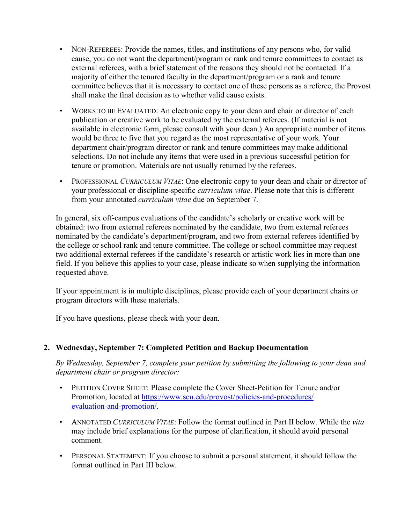- NON-REFEREES: Provide the names, titles, and institutions of any persons who, for valid cause, you do not want the department/program or rank and tenure committees to contact as external referees, with a brief statement of the reasons they should not be contacted. If a majority of either the tenured faculty in the department/program or a rank and tenure committee believes that it is necessary to contact one of these persons as a referee, the Provost shall make the final decision as to whether valid cause exists.
- WORKS TO BE EVALUATED: An electronic copy to your dean and chair or director of each publication or creative work to be evaluated by the external referees. (If material is not available in electronic form, please consult with your dean.) An appropriate number of items would be three to five that you regard as the most representative of your work. Your department chair/program director or rank and tenure committees may make additional selections. Do not include any items that were used in a previous successful petition for tenure or promotion. Materials are not usually returned by the referees.
- PROFESSIONAL *CURRICULUM VITAE*: One electronic copy to your dean and chair or director of your professional or discipline-specific *curriculum vitae*. Please note that this is different from your annotated *curriculum vitae* due on September 7.

In general, six off-campus evaluations of the candidate's scholarly or creative work will be obtained: two from external referees nominated by the candidate, two from external referees nominated by the candidate's department/program, and two from external referees identified by the college or school rank and tenure committee. The college or school committee may request two additional external referees if the candidate's research or artistic work lies in more than one field. If you believe this applies to your case, please indicate so when supplying the information requested above.

If your appointment is in multiple disciplines, please provide each of your department chairs or program directors with these materials.

If you have questions, please check with your dean.

### **2. Wednesday, September 7: Completed Petition and Backup Documentation**

*By Wednesday, September 7, complete your petition by submitting the following to your dean and department chair or program director:*

- PETITION COVER SHEET: Please complete the Cover Sheet-Petition for Tenure and/or Promotion, located at [https://www.scu.edu/provost/policies-and-procedures/](https://www.scu.edu/provost/policies-and-procedures/evaluation-and-promotion/) [evaluation-and-promotion/.](https://www.scu.edu/provost/policies-and-procedures/evaluation-and-promotion/)
- ANNOTATED *CURRICULUM VITAE*: Follow the format outlined in Part II below. While the *vita*  may include brief explanations for the purpose of clarification, it should avoid personal comment.
- PERSONAL STATEMENT: If you choose to submit a personal statement, it should follow the format outlined in Part III below.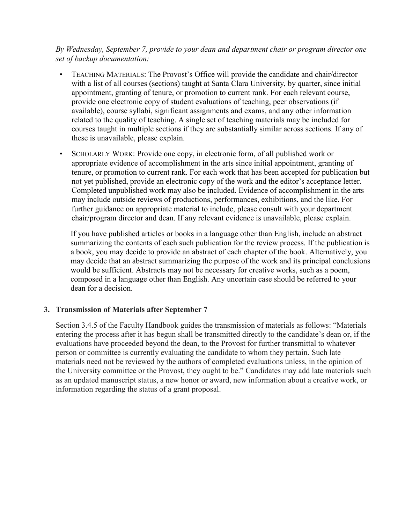*By Wednesday, September 7, provide to your dean and department chair or program director one set of backup documentation:*

- TEACHING MATERIALS: The Provost's Office will provide the candidate and chair/director with a list of all courses (sections) taught at Santa Clara University, by quarter, since initial appointment, granting of tenure, or promotion to current rank. For each relevant course, provide one electronic copy of student evaluations of teaching, peer observations (if available), course syllabi, significant assignments and exams, and any other information related to the quality of teaching. A single set of teaching materials may be included for courses taught in multiple sections if they are substantially similar across sections. If any of these is unavailable, please explain.
- SCHOLARLY WORK: Provide one copy, in electronic form, of all published work or appropriate evidence of accomplishment in the arts since initial appointment, granting of tenure, or promotion to current rank. For each work that has been accepted for publication but not yet published, provide an electronic copy of the work and the editor's acceptance letter. Completed unpublished work may also be included. Evidence of accomplishment in the arts may include outside reviews of productions, performances, exhibitions, and the like. For further guidance on appropriate material to include, please consult with your department chair/program director and dean. If any relevant evidence is unavailable, please explain.

If you have published articles or books in a language other than English, include an abstract summarizing the contents of each such publication for the review process. If the publication is a book, you may decide to provide an abstract of each chapter of the book. Alternatively, you may decide that an abstract summarizing the purpose of the work and its principal conclusions would be sufficient. Abstracts may not be necessary for creative works, such as a poem, composed in a language other than English. Any uncertain case should be referred to your dean for a decision.

### **3. Transmission of Materials after September 7**

Section 3.4.5 of the Faculty Handbook guides the transmission of materials as follows: "Materials entering the process after it has begun shall be transmitted directly to the candidate's dean or, if the evaluations have proceeded beyond the dean, to the Provost for further transmittal to whatever person or committee is currently evaluating the candidate to whom they pertain. Such late materials need not be reviewed by the authors of completed evaluations unless, in the opinion of the University committee or the Provost, they ought to be." Candidates may add late materials such as an updated manuscript status, a new honor or award, new information about a creative work, or information regarding the status of a grant proposal.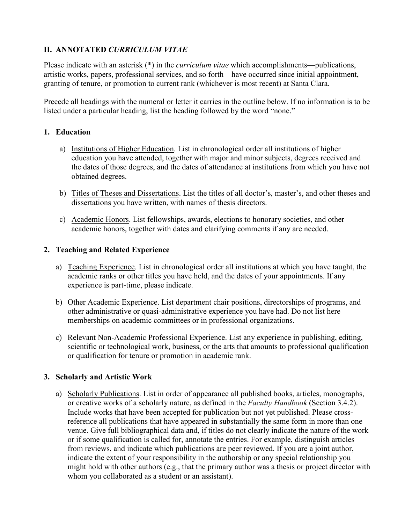## **II. ANNOTATED** *CURRICULUM VITAE*

Please indicate with an asterisk (\*) in the *curriculum vitae* which accomplishments—publications, artistic works, papers, professional services, and so forth—have occurred since initial appointment, granting of tenure, or promotion to current rank (whichever is most recent) at Santa Clara.

Precede all headings with the numeral or letter it carries in the outline below. If no information is to be listed under a particular heading, list the heading followed by the word "none."

### **1. Education**

- a) Institutions of Higher Education. List in chronological order all institutions of higher education you have attended, together with major and minor subjects, degrees received and the dates of those degrees, and the dates of attendance at institutions from which you have not obtained degrees.
- b) Titles of Theses and Dissertations. List the titles of all doctor's, master's, and other theses and dissertations you have written, with names of thesis directors.
- c) Academic Honors. List fellowships, awards, elections to honorary societies, and other academic honors, together with dates and clarifying comments if any are needed.

#### **2. Teaching and Related Experience**

- a) Teaching Experience. List in chronological order all institutions at which you have taught, the academic ranks or other titles you have held, and the dates of your appointments. If any experience is part-time, please indicate.
- b) Other Academic Experience. List department chair positions, directorships of programs, and other administrative or quasi-administrative experience you have had. Do not list here memberships on academic committees or in professional organizations.
- c) Relevant Non-Academic Professional Experience. List any experience in publishing, editing, scientific or technological work, business, or the arts that amounts to professional qualification or qualification for tenure or promotion in academic rank.

### **3. Scholarly and Artistic Work**

a) Scholarly Publications. List in order of appearance all published books, articles, monographs, or creative works of a scholarly nature, as defined in the *Faculty Handbook* (Section 3.4.2). Include works that have been accepted for publication but not yet published. Please crossreference all publications that have appeared in substantially the same form in more than one venue. Give full bibliographical data and, if titles do not clearly indicate the nature of the work or if some qualification is called for, annotate the entries. For example, distinguish articles from reviews, and indicate which publications are peer reviewed. If you are a joint author, indicate the extent of your responsibility in the authorship or any special relationship you might hold with other authors (e.g., that the primary author was a thesis or project director with whom you collaborated as a student or an assistant).